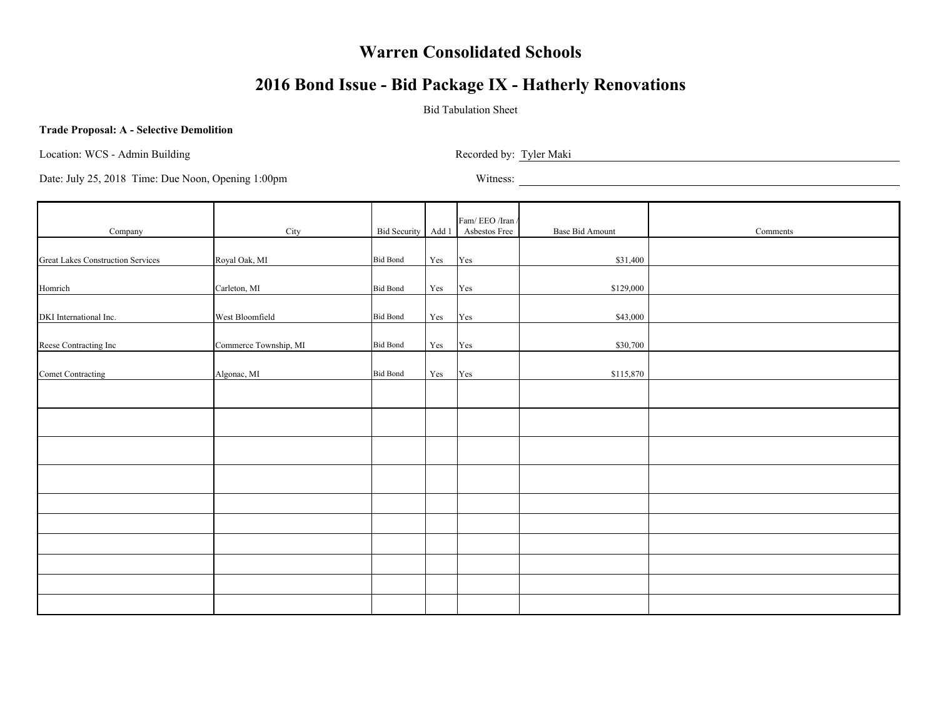# **2016 Bond Issue - Bid Package IX - Hatherly Renovations**

### Bid Tabulation Sheet

#### **Trade Proposal: A - Selective Demolition**

Location: WCS - Admin Building Recorded by: Tyler Maki

| Company                                  | City                  | Bid Security Add 1 |                      | Fam/EEO/Iran/<br>Asbestos Free | Base Bid Amount | Comments |
|------------------------------------------|-----------------------|--------------------|----------------------|--------------------------------|-----------------|----------|
|                                          |                       |                    |                      |                                |                 |          |
| <b>Great Lakes Construction Services</b> | Royal Oak, MI         | <b>Bid Bond</b>    | Yes                  | Yes                            | \$31,400        |          |
| Homrich                                  | Carleton, MI          | <b>Bid Bond</b>    | Yes                  | Yes                            | \$129,000       |          |
| DKI International Inc.                   | West Bloomfield       | <b>Bid Bond</b>    | Yes                  | Yes                            | \$43,000        |          |
| Reese Contracting Inc                    | Commerce Township, MI | <b>Bid Bond</b>    | Yes                  | Yes                            | \$30,700        |          |
| Comet Contracting                        | Algonac, MI           | <b>Bid Bond</b>    | $\operatorname{Yes}$ | Yes                            | \$115,870       |          |
|                                          |                       |                    |                      |                                |                 |          |
|                                          |                       |                    |                      |                                |                 |          |
|                                          |                       |                    |                      |                                |                 |          |
|                                          |                       |                    |                      |                                |                 |          |
|                                          |                       |                    |                      |                                |                 |          |
|                                          |                       |                    |                      |                                |                 |          |
|                                          |                       |                    |                      |                                |                 |          |
|                                          |                       |                    |                      |                                |                 |          |
|                                          |                       |                    |                      |                                |                 |          |
|                                          |                       |                    |                      |                                |                 |          |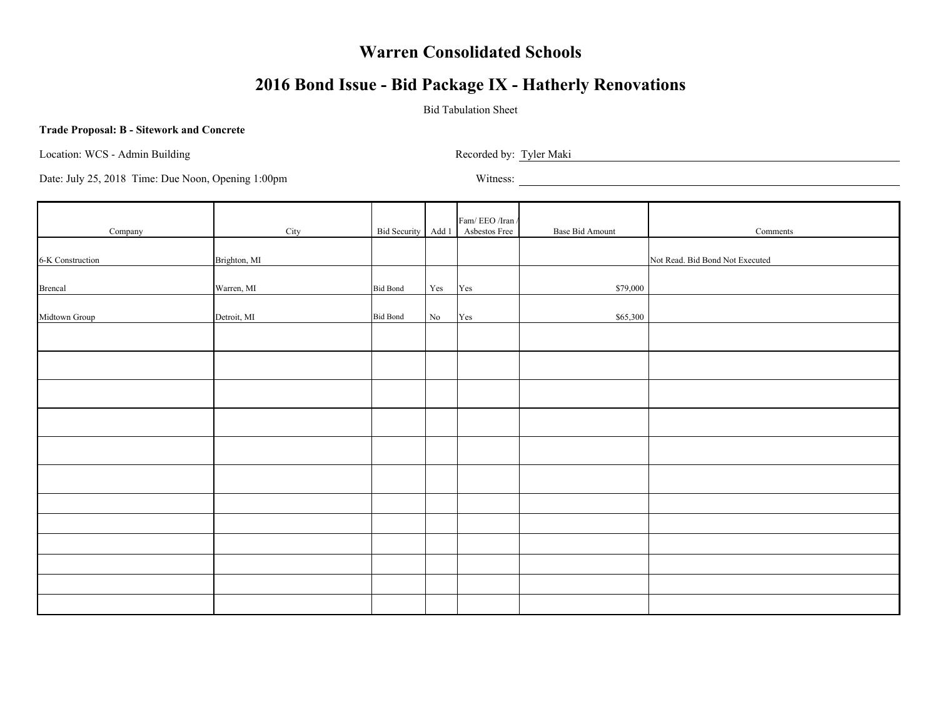# **2016 Bond Issue - Bid Package IX - Hatherly Renovations**

### Bid Tabulation Sheet

#### **Trade Proposal: B - Sitework and Concrete**

Location: WCS - Admin Building Recorded by: Tyler Maki

|                  |              |                 |          | Fam/EEO/Iran/                    |                        |                                 |
|------------------|--------------|-----------------|----------|----------------------------------|------------------------|---------------------------------|
| Company          | City         |                 |          | Bid Security Add 1 Asbestos Free | <b>Base Bid Amount</b> | Comments                        |
| 6-K Construction | Brighton, MI |                 |          |                                  |                        | Not Read. Bid Bond Not Executed |
|                  |              |                 |          |                                  |                        |                                 |
| <b>Brencal</b>   | Warren, MI   | <b>Bid Bond</b> | Yes      | Yes                              | \$79,000               |                                 |
| Midtown Group    | Detroit, MI  | <b>Bid Bond</b> | $\rm No$ | Yes                              | \$65,300               |                                 |
|                  |              |                 |          |                                  |                        |                                 |
|                  |              |                 |          |                                  |                        |                                 |
|                  |              |                 |          |                                  |                        |                                 |
|                  |              |                 |          |                                  |                        |                                 |
|                  |              |                 |          |                                  |                        |                                 |
|                  |              |                 |          |                                  |                        |                                 |
|                  |              |                 |          |                                  |                        |                                 |
|                  |              |                 |          |                                  |                        |                                 |
|                  |              |                 |          |                                  |                        |                                 |
|                  |              |                 |          |                                  |                        |                                 |
|                  |              |                 |          |                                  |                        |                                 |
|                  |              |                 |          |                                  |                        |                                 |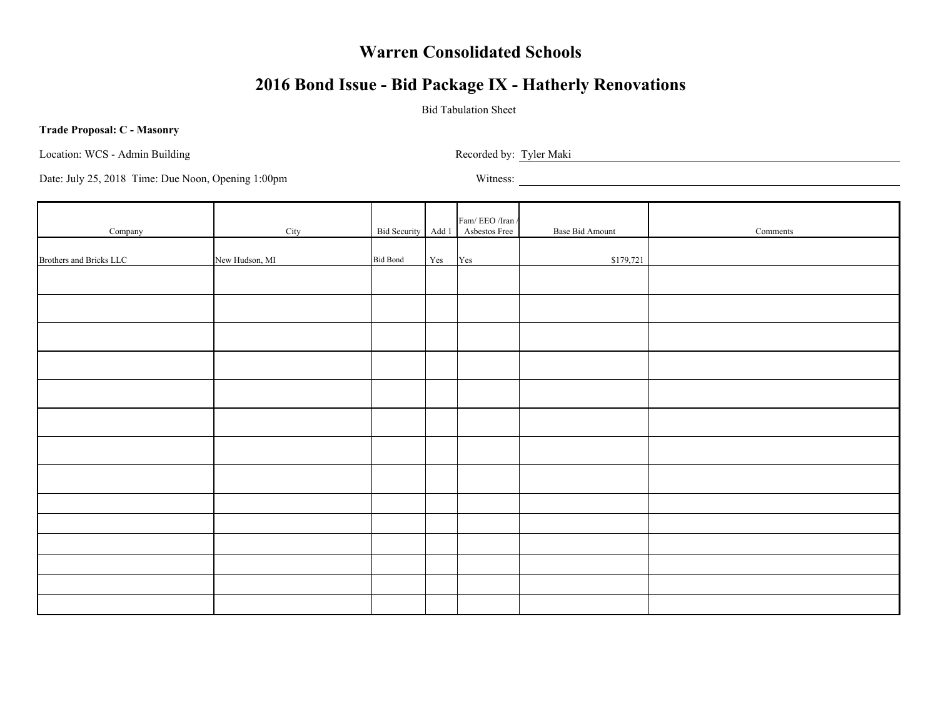# **2016 Bond Issue - Bid Package IX - Hatherly Renovations**

### Bid Tabulation Sheet

#### **Trade Proposal: C - Masonry**

Location: WCS - Admin Building Recorded by: Tyler Maki

| Company                 | City           |                 |     | Fam/ EEO /Iran /<br>Bid Security Add 1 Asbestos Free | Base Bid Amount | Comments |
|-------------------------|----------------|-----------------|-----|------------------------------------------------------|-----------------|----------|
| Brothers and Bricks LLC | New Hudson, MI | <b>Bid Bond</b> | Yes | Yes                                                  | \$179,721       |          |
|                         |                |                 |     |                                                      |                 |          |
|                         |                |                 |     |                                                      |                 |          |
|                         |                |                 |     |                                                      |                 |          |
|                         |                |                 |     |                                                      |                 |          |
|                         |                |                 |     |                                                      |                 |          |
|                         |                |                 |     |                                                      |                 |          |
|                         |                |                 |     |                                                      |                 |          |
|                         |                |                 |     |                                                      |                 |          |
|                         |                |                 |     |                                                      |                 |          |
|                         |                |                 |     |                                                      |                 |          |
|                         |                |                 |     |                                                      |                 |          |
|                         |                |                 |     |                                                      |                 |          |
|                         |                |                 |     |                                                      |                 |          |
|                         |                |                 |     |                                                      |                 |          |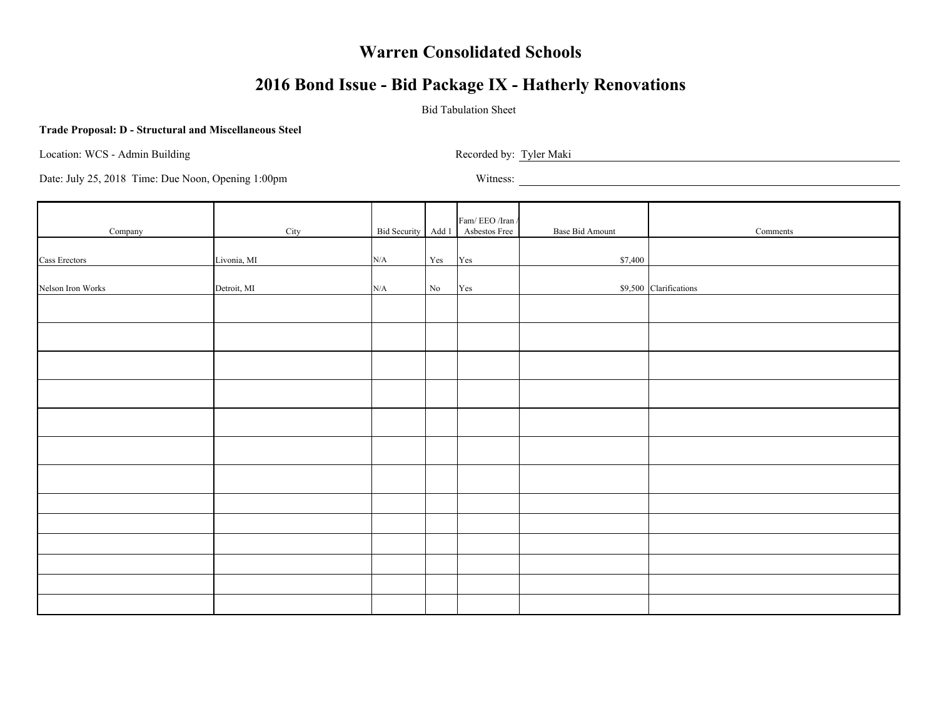# **2016 Bond Issue - Bid Package IX - Hatherly Renovations**

### Bid Tabulation Sheet

#### **Trade Proposal: D - Structural and Miscellaneous Steel**

Location: WCS - Admin Building Recorded by: Tyler Maki Recorded by: Tyler Maki

| Company           | City        |           |                      | $Fam/$ EEO /Iran /<br>Bid Security Add 1 Asbestos Free | Base Bid Amount | Comments               |
|-------------------|-------------|-----------|----------------------|--------------------------------------------------------|-----------------|------------------------|
| Cass Erectors     | Livonia, MI | N/A       | $\operatorname{Yes}$ | Yes                                                    | \$7,400         |                        |
|                   |             |           |                      |                                                        |                 |                        |
| Nelson Iron Works | Detroit, MI | $\rm N/A$ | $\rm No$             | Yes                                                    |                 | \$9,500 Clarifications |
|                   |             |           |                      |                                                        |                 |                        |
|                   |             |           |                      |                                                        |                 |                        |
|                   |             |           |                      |                                                        |                 |                        |
|                   |             |           |                      |                                                        |                 |                        |
|                   |             |           |                      |                                                        |                 |                        |
|                   |             |           |                      |                                                        |                 |                        |
|                   |             |           |                      |                                                        |                 |                        |
|                   |             |           |                      |                                                        |                 |                        |
|                   |             |           |                      |                                                        |                 |                        |
|                   |             |           |                      |                                                        |                 |                        |
|                   |             |           |                      |                                                        |                 |                        |
|                   |             |           |                      |                                                        |                 |                        |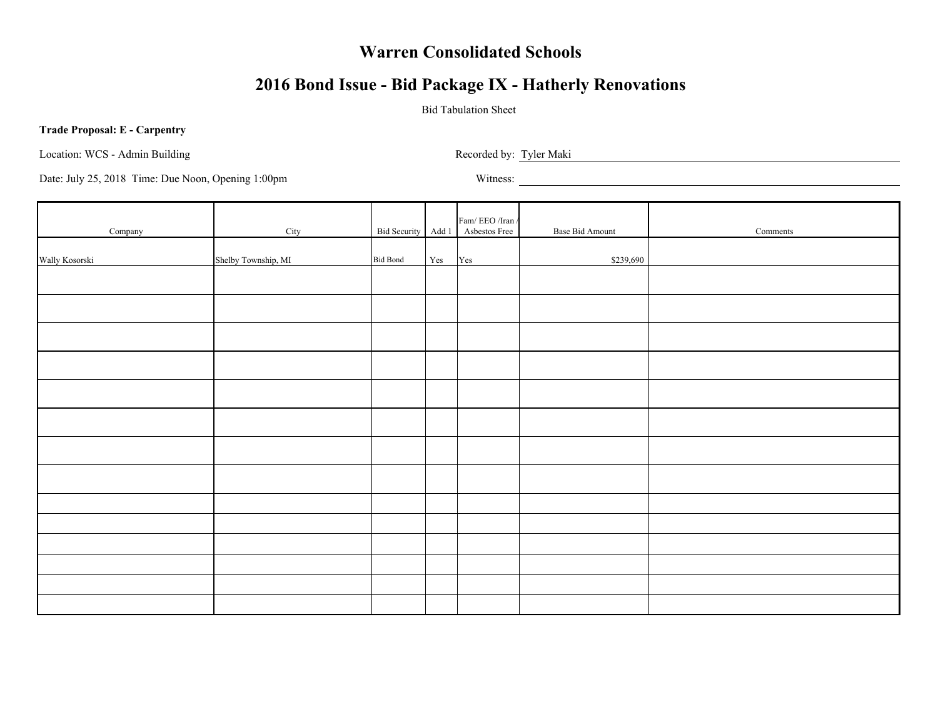# **2016 Bond Issue - Bid Package IX - Hatherly Renovations**

### Bid Tabulation Sheet

#### **Trade Proposal: E - Carpentry**

Location: WCS - Admin Building Recorded by: Tyler Maki

| Company        | City                |                 |                      | $\mbox{Fam}/\mbox{EEO}/\mbox{Iran}/$<br>Bid Security Add 1 Asbestos Free | Base Bid Amount | Comments |
|----------------|---------------------|-----------------|----------------------|--------------------------------------------------------------------------|-----------------|----------|
| Wally Kosorski | Shelby Township, MI | <b>Bid Bond</b> | $\operatorname{Yes}$ | $\operatorname{Yes}$                                                     | \$239,690       |          |
|                |                     |                 |                      |                                                                          |                 |          |
|                |                     |                 |                      |                                                                          |                 |          |
|                |                     |                 |                      |                                                                          |                 |          |
|                |                     |                 |                      |                                                                          |                 |          |
|                |                     |                 |                      |                                                                          |                 |          |
|                |                     |                 |                      |                                                                          |                 |          |
|                |                     |                 |                      |                                                                          |                 |          |
|                |                     |                 |                      |                                                                          |                 |          |
|                |                     |                 |                      |                                                                          |                 |          |
|                |                     |                 |                      |                                                                          |                 |          |
|                |                     |                 |                      |                                                                          |                 |          |
|                |                     |                 |                      |                                                                          |                 |          |
|                |                     |                 |                      |                                                                          |                 |          |
|                |                     |                 |                      |                                                                          |                 |          |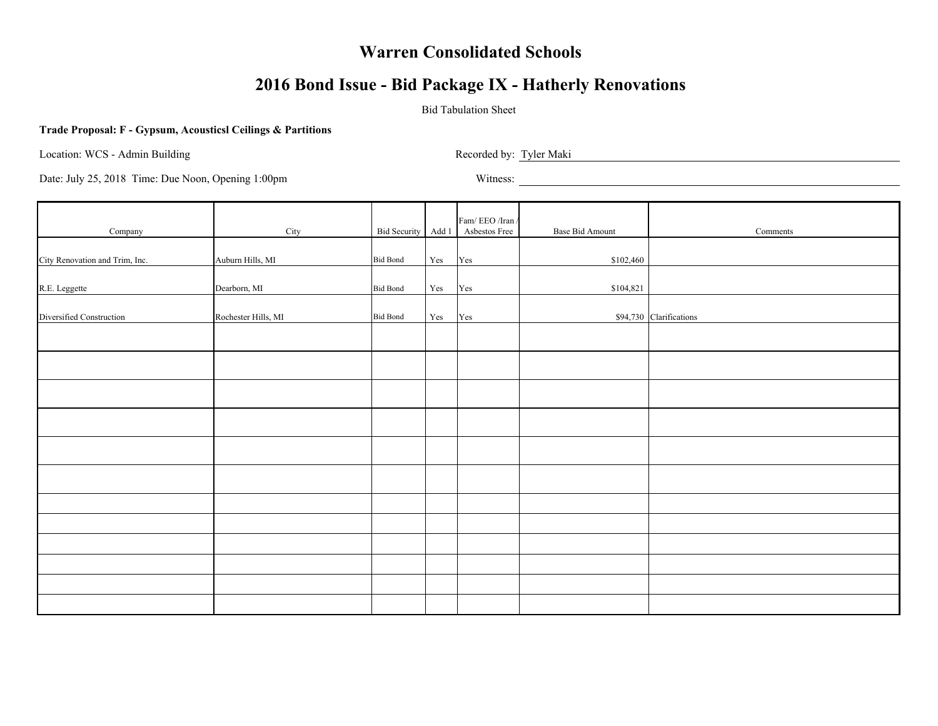# **2016 Bond Issue - Bid Package IX - Hatherly Renovations**

### Bid Tabulation Sheet

#### **Trade Proposal: F - Gypsum, Acousticsl Ceilings & Partitions**

Location: WCS - Admin Building Recorded by: Tyler Maki

| Company                        | City                |                 |                      | Fam/EEO/Iran/<br>Bid Security Add 1 Asbestos Free | <b>Base Bid Amount</b> | Comments                |
|--------------------------------|---------------------|-----------------|----------------------|---------------------------------------------------|------------------------|-------------------------|
| City Renovation and Trim, Inc. | Auburn Hills, MI    | <b>Bid Bond</b> | $\operatorname{Yes}$ |                                                   | \$102,460              |                         |
|                                |                     |                 |                      | Yes                                               |                        |                         |
| R.E. Leggette                  | Dearborn, MI        | <b>Bid Bond</b> | $\operatorname{Yes}$ | Yes                                               | \$104,821              |                         |
| Diversified Construction       | Rochester Hills, MI | <b>Bid Bond</b> | $\operatorname{Yes}$ | Yes                                               |                        | \$94,730 Clarifications |
|                                |                     |                 |                      |                                                   |                        |                         |
|                                |                     |                 |                      |                                                   |                        |                         |
|                                |                     |                 |                      |                                                   |                        |                         |
|                                |                     |                 |                      |                                                   |                        |                         |
|                                |                     |                 |                      |                                                   |                        |                         |
|                                |                     |                 |                      |                                                   |                        |                         |
|                                |                     |                 |                      |                                                   |                        |                         |
|                                |                     |                 |                      |                                                   |                        |                         |
|                                |                     |                 |                      |                                                   |                        |                         |
|                                |                     |                 |                      |                                                   |                        |                         |
|                                |                     |                 |                      |                                                   |                        |                         |
|                                |                     |                 |                      |                                                   |                        |                         |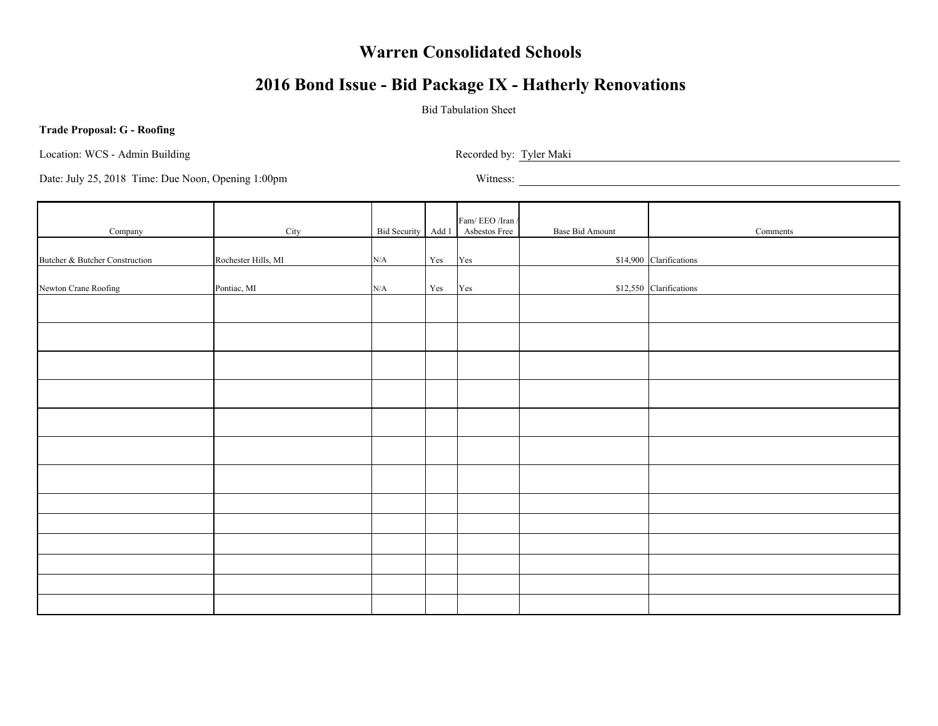# **2016 Bond Issue - Bid Package IX - Hatherly Renovations**

### Bid Tabulation Sheet

#### **Trade Proposal: G - Roofing**

Location: WCS - Admin Building Recorded by: Tyler Maki Recorded by: Tyler Maki

| Company                        | City                |     |                      | Fam/EEO/Iran/<br>Bid Security Add 1 Asbestos Free                                     | Base Bid Amount | Comments                |
|--------------------------------|---------------------|-----|----------------------|---------------------------------------------------------------------------------------|-----------------|-------------------------|
| Butcher & Butcher Construction | Rochester Hills, MI | N/A | $\operatorname{Yes}$ | Yes                                                                                   |                 | \$14,900 Clarifications |
| Newton Crane Roofing           | Pontiac, MI         | N/A | $\operatorname{Yes}$ | $\operatorname*{Yes}% \left( X\right) \equiv\operatorname*{Yes}(\mathbb{R}^{3}\left)$ |                 | \$12,550 Clarifications |
|                                |                     |     |                      |                                                                                       |                 |                         |
|                                |                     |     |                      |                                                                                       |                 |                         |
|                                |                     |     |                      |                                                                                       |                 |                         |
|                                |                     |     |                      |                                                                                       |                 |                         |
|                                |                     |     |                      |                                                                                       |                 |                         |
|                                |                     |     |                      |                                                                                       |                 |                         |
|                                |                     |     |                      |                                                                                       |                 |                         |
|                                |                     |     |                      |                                                                                       |                 |                         |
|                                |                     |     |                      |                                                                                       |                 |                         |
|                                |                     |     |                      |                                                                                       |                 |                         |
|                                |                     |     |                      |                                                                                       |                 |                         |
|                                |                     |     |                      |                                                                                       |                 |                         |
|                                |                     |     |                      |                                                                                       |                 |                         |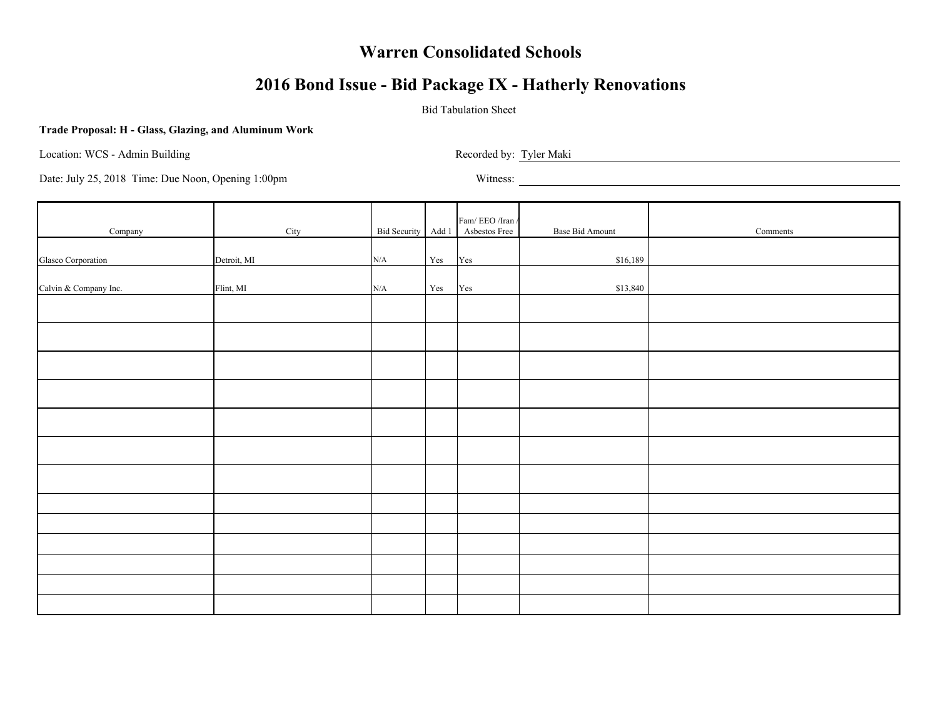# **2016 Bond Issue - Bid Package IX - Hatherly Renovations**

### Bid Tabulation Sheet

#### **Trade Proposal: H - Glass, Glazing, and Aluminum Work**

Location: WCS - Admin Building Recorded by: Tyler Maki

| Company               | City        |           |     | Fam/EEO/Iran/<br>Bid Security Add 1 Asbestos Free                                     | Base Bid Amount | Comments |
|-----------------------|-------------|-----------|-----|---------------------------------------------------------------------------------------|-----------------|----------|
| Glasco Corporation    | Detroit, MI | $\rm N/A$ | Yes | Yes                                                                                   | \$16,189        |          |
| Calvin & Company Inc. | Flint, MI   | $\rm N/A$ | Yes | $\operatorname*{Yes}% \left( X\right) \equiv\operatorname*{Yes}(\mathbb{R}^{3}\left)$ | \$13,840        |          |
|                       |             |           |     |                                                                                       |                 |          |
|                       |             |           |     |                                                                                       |                 |          |
|                       |             |           |     |                                                                                       |                 |          |
|                       |             |           |     |                                                                                       |                 |          |
|                       |             |           |     |                                                                                       |                 |          |
|                       |             |           |     |                                                                                       |                 |          |
|                       |             |           |     |                                                                                       |                 |          |
|                       |             |           |     |                                                                                       |                 |          |
|                       |             |           |     |                                                                                       |                 |          |
|                       |             |           |     |                                                                                       |                 |          |
|                       |             |           |     |                                                                                       |                 |          |
|                       |             |           |     |                                                                                       |                 |          |
|                       |             |           |     |                                                                                       |                 |          |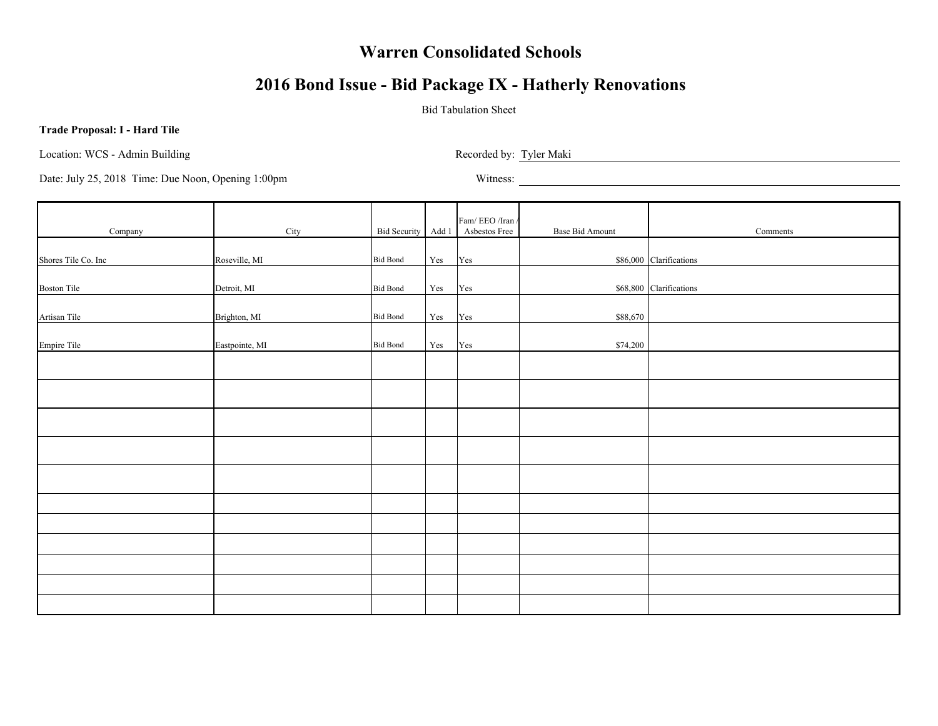# **2016 Bond Issue - Bid Package IX - Hatherly Renovations**

### Bid Tabulation Sheet

#### **Trade Proposal: I - Hard Tile**

Location: WCS - Admin Building Recorded by: Tyler Maki Recorded by: Tyler Maki Recorded by: Tyler Maki Recorded by: Tyler Maki Recorded by: Tyler Maki Recorded by: Tyler Maki Recorded by: Tyler Maki Recorded by: Tyler Maki

| Company             | City           |                 |     | Fam/EEO/Iran/<br>Bid Security Add 1 Asbestos Free | Base Bid Amount | Comments                |
|---------------------|----------------|-----------------|-----|---------------------------------------------------|-----------------|-------------------------|
| Shores Tile Co. Inc | Roseville, MI  | <b>Bid Bond</b> | Yes | Yes                                               |                 | \$86,000 Clarifications |
|                     |                |                 |     |                                                   |                 | \$68,800 Clarifications |
| <b>Boston Tile</b>  | Detroit, MI    | <b>Bid Bond</b> | Yes | Yes                                               |                 |                         |
| Artisan Tile        | Brighton, MI   | <b>Bid Bond</b> | Yes | Yes                                               | \$88,670        |                         |
| <b>Empire Tile</b>  | Eastpointe, MI | <b>Bid Bond</b> | Yes | Yes                                               | \$74,200        |                         |
|                     |                |                 |     |                                                   |                 |                         |
|                     |                |                 |     |                                                   |                 |                         |
|                     |                |                 |     |                                                   |                 |                         |
|                     |                |                 |     |                                                   |                 |                         |
|                     |                |                 |     |                                                   |                 |                         |
|                     |                |                 |     |                                                   |                 |                         |
|                     |                |                 |     |                                                   |                 |                         |
|                     |                |                 |     |                                                   |                 |                         |
|                     |                |                 |     |                                                   |                 |                         |
|                     |                |                 |     |                                                   |                 |                         |
|                     |                |                 |     |                                                   |                 |                         |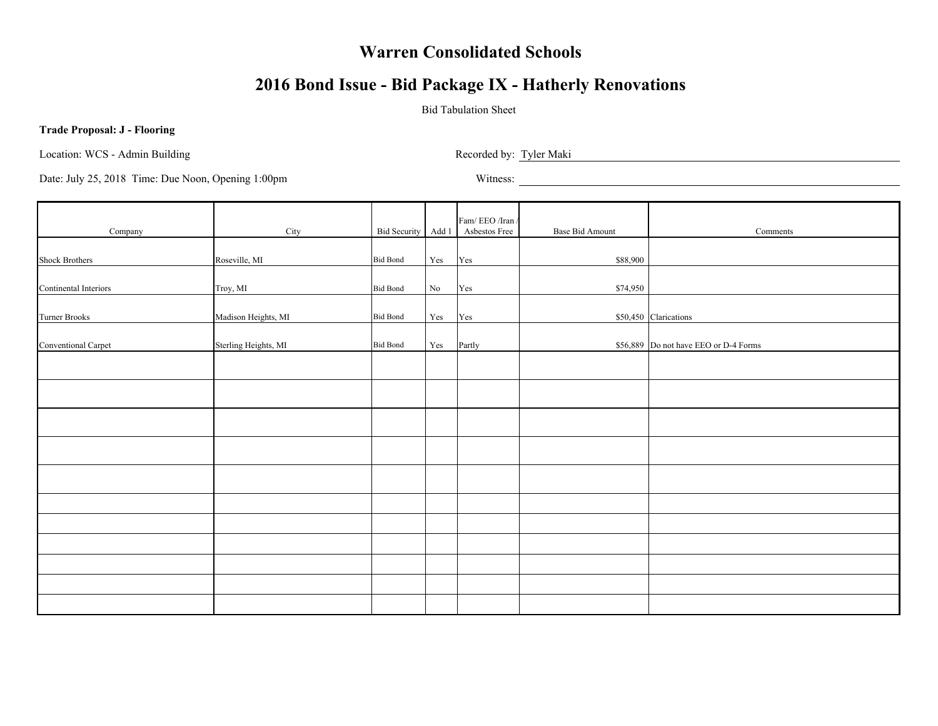# **2016 Bond Issue - Bid Package IX - Hatherly Renovations**

### Bid Tabulation Sheet

#### **Trade Proposal: J - Flooring**

Location: WCS - Admin Building Recorded by: Tyler Maki Recorded by: Tyler Maki

| Company               | City                 |                 |          | Fam/EEO/Iran/<br>Bid Security Add 1 Asbestos Free | <b>Base Bid Amount</b> | Comments                              |
|-----------------------|----------------------|-----------------|----------|---------------------------------------------------|------------------------|---------------------------------------|
| <b>Shock Brothers</b> | Roseville, MI        | <b>Bid Bond</b> | Yes      | Yes                                               | \$88,900               |                                       |
|                       |                      |                 |          |                                                   |                        |                                       |
| Continental Interiors | Troy, MI             | <b>Bid Bond</b> | $\rm No$ | Yes                                               | \$74,950               |                                       |
| <b>Turner Brooks</b>  | Madison Heights, MI  | <b>Bid Bond</b> | Yes      | Yes                                               |                        | \$50,450 Clarications                 |
| Conventional Carpet   | Sterling Heights, MI | <b>Bid Bond</b> | Yes      | Partly                                            |                        | \$56,889 Do not have EEO or D-4 Forms |
|                       |                      |                 |          |                                                   |                        |                                       |
|                       |                      |                 |          |                                                   |                        |                                       |
|                       |                      |                 |          |                                                   |                        |                                       |
|                       |                      |                 |          |                                                   |                        |                                       |
|                       |                      |                 |          |                                                   |                        |                                       |
|                       |                      |                 |          |                                                   |                        |                                       |
|                       |                      |                 |          |                                                   |                        |                                       |
|                       |                      |                 |          |                                                   |                        |                                       |
|                       |                      |                 |          |                                                   |                        |                                       |
|                       |                      |                 |          |                                                   |                        |                                       |
|                       |                      |                 |          |                                                   |                        |                                       |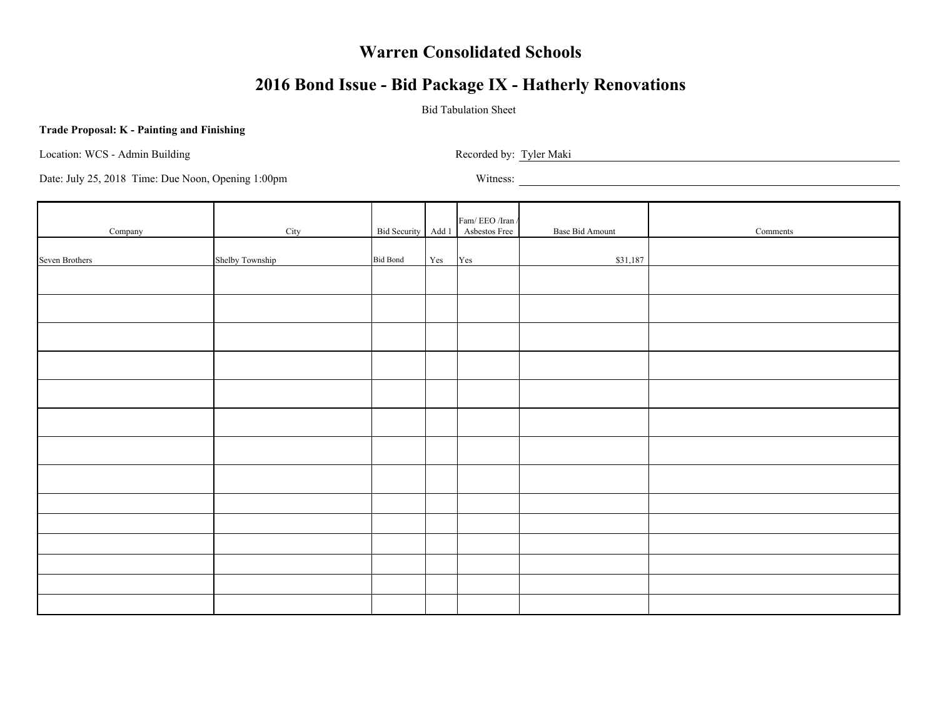# **2016 Bond Issue - Bid Package IX - Hatherly Renovations**

### Bid Tabulation Sheet

#### **Trade Proposal: K - Painting and Finishing**

Location: WCS - Admin Building Recorded by: Tyler Maki

| Company        | City            |                 |     | $\mbox{Fam}/\mbox{EEO}/\mbox{Iran}/$<br>Bid Security Add 1 Asbestos Free | Base Bid Amount | Comments |
|----------------|-----------------|-----------------|-----|--------------------------------------------------------------------------|-----------------|----------|
| Seven Brothers | Shelby Township | <b>Bid Bond</b> | Yes | Yes                                                                      | \$31,187        |          |
|                |                 |                 |     |                                                                          |                 |          |
|                |                 |                 |     |                                                                          |                 |          |
|                |                 |                 |     |                                                                          |                 |          |
|                |                 |                 |     |                                                                          |                 |          |
|                |                 |                 |     |                                                                          |                 |          |
|                |                 |                 |     |                                                                          |                 |          |
|                |                 |                 |     |                                                                          |                 |          |
|                |                 |                 |     |                                                                          |                 |          |
|                |                 |                 |     |                                                                          |                 |          |
|                |                 |                 |     |                                                                          |                 |          |
|                |                 |                 |     |                                                                          |                 |          |
|                |                 |                 |     |                                                                          |                 |          |
|                |                 |                 |     |                                                                          |                 |          |
|                |                 |                 |     |                                                                          |                 |          |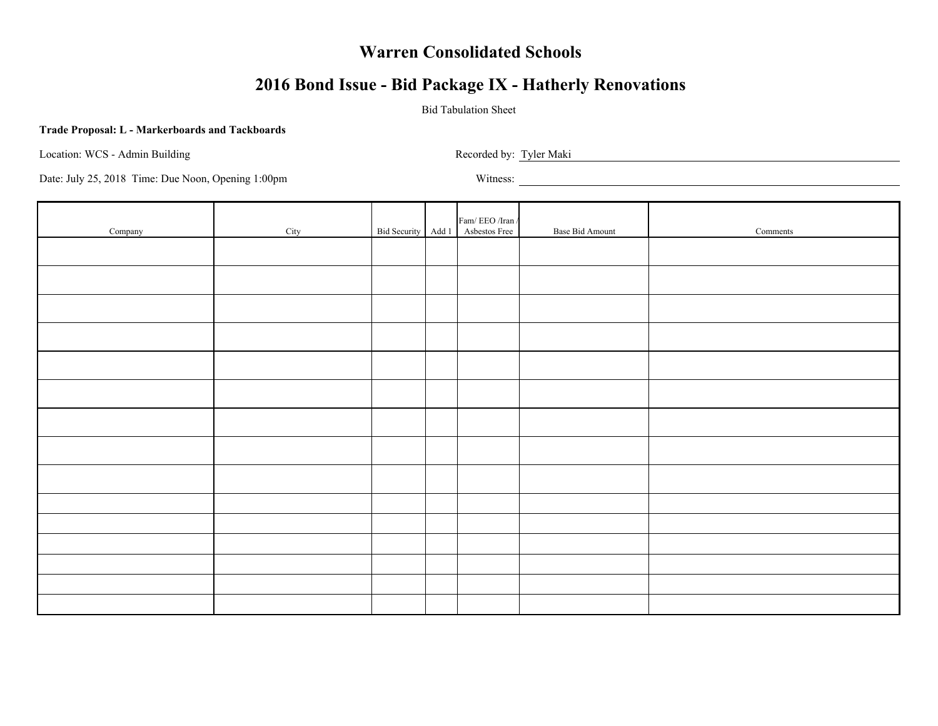# **2016 Bond Issue - Bid Package IX - Hatherly Renovations**

### Bid Tabulation Sheet

#### **Trade Proposal: L - Markerboards and Tackboards**

Location: WCS - Admin Building Recorded by: Tyler Maki Recorded by: Tyler Maki

| Company | City |  | $\ensuremath{\mathsf{Fam}}\xspace/\ensuremath{\mathsf{EEO}}\xspace/\ensuremath{\mathsf{Iran}}\xspace$ /<br>Bid Security Add 1 Asbestos Free | Base Bid Amount | Comments |
|---------|------|--|---------------------------------------------------------------------------------------------------------------------------------------------|-----------------|----------|
|         |      |  |                                                                                                                                             |                 |          |
|         |      |  |                                                                                                                                             |                 |          |
|         |      |  |                                                                                                                                             |                 |          |
|         |      |  |                                                                                                                                             |                 |          |
|         |      |  |                                                                                                                                             |                 |          |
|         |      |  |                                                                                                                                             |                 |          |
|         |      |  |                                                                                                                                             |                 |          |
|         |      |  |                                                                                                                                             |                 |          |
|         |      |  |                                                                                                                                             |                 |          |
|         |      |  |                                                                                                                                             |                 |          |
|         |      |  |                                                                                                                                             |                 |          |
|         |      |  |                                                                                                                                             |                 |          |
|         |      |  |                                                                                                                                             |                 |          |
|         |      |  |                                                                                                                                             |                 |          |
|         |      |  |                                                                                                                                             |                 |          |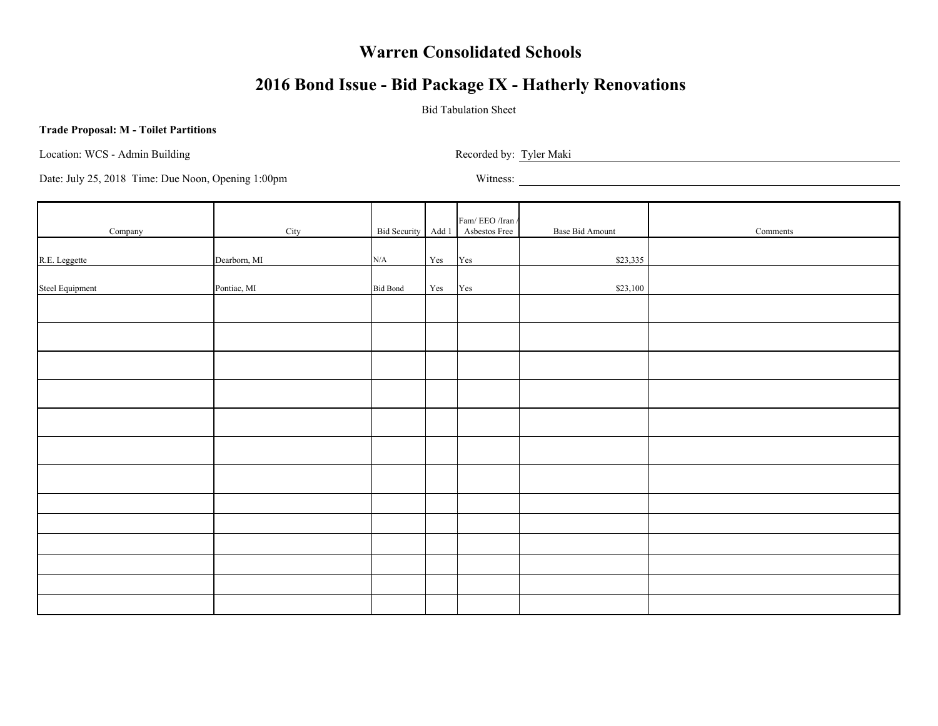# **2016 Bond Issue - Bid Package IX - Hatherly Renovations**

### Bid Tabulation Sheet

#### **Trade Proposal: M - Toilet Partitions**

Location: WCS - Admin Building Recorded by: Tyler Maki Recorded by: Tyler Maki

| Company         | City         |                 |                      | Fam/ EEO /Iran /<br>Bid Security Add 1 Asbestos Free | Base Bid Amount | Comments |
|-----------------|--------------|-----------------|----------------------|------------------------------------------------------|-----------------|----------|
| R.E. Leggette   | Dearborn, MI | N/A             | $\operatorname{Yes}$ | Yes                                                  | \$23,335        |          |
| Steel Equipment | Pontiac, MI  | <b>Bid Bond</b> | $\operatorname{Yes}$ | $\operatorname{Yes}$                                 | \$23,100        |          |
|                 |              |                 |                      |                                                      |                 |          |
|                 |              |                 |                      |                                                      |                 |          |
|                 |              |                 |                      |                                                      |                 |          |
|                 |              |                 |                      |                                                      |                 |          |
|                 |              |                 |                      |                                                      |                 |          |
|                 |              |                 |                      |                                                      |                 |          |
|                 |              |                 |                      |                                                      |                 |          |
|                 |              |                 |                      |                                                      |                 |          |
|                 |              |                 |                      |                                                      |                 |          |
|                 |              |                 |                      |                                                      |                 |          |
|                 |              |                 |                      |                                                      |                 |          |
|                 |              |                 |                      |                                                      |                 |          |
|                 |              |                 |                      |                                                      |                 |          |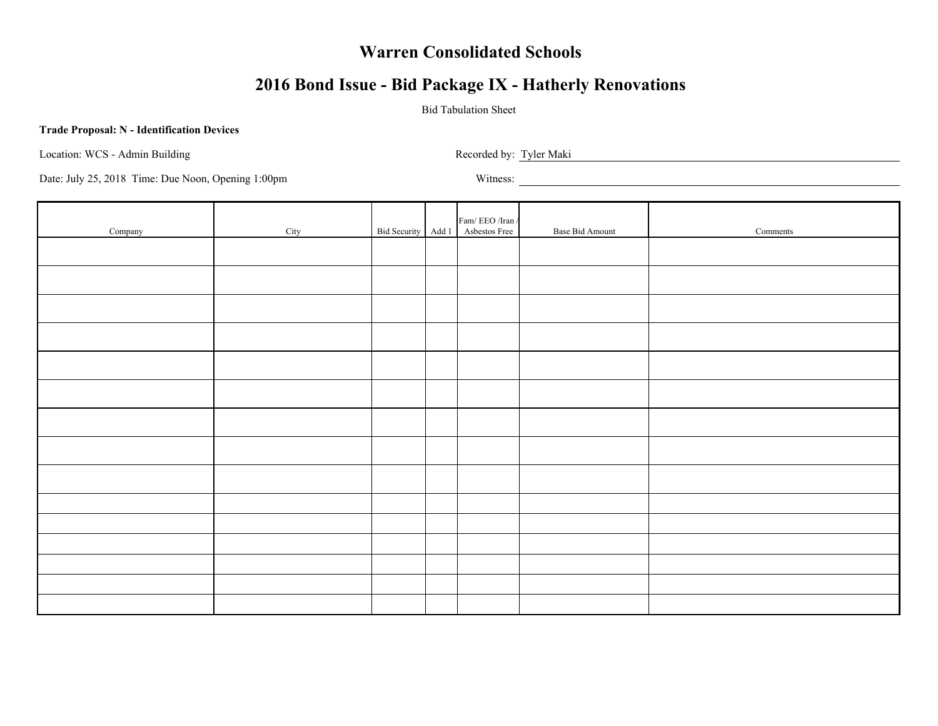# **2016 Bond Issue - Bid Package IX - Hatherly Renovations**

### Bid Tabulation Sheet

#### **Trade Proposal: N - Identification Devices**

Location: WCS - Admin Building Recorded by: Tyler Maki

| Company | City |  | Fam/ $\rm EEO$ /Iran /<br>Bid Security Add 1 Asbestos Free | Base Bid Amount | Comments |
|---------|------|--|------------------------------------------------------------|-----------------|----------|
|         |      |  |                                                            |                 |          |
|         |      |  |                                                            |                 |          |
|         |      |  |                                                            |                 |          |
|         |      |  |                                                            |                 |          |
|         |      |  |                                                            |                 |          |
|         |      |  |                                                            |                 |          |
|         |      |  |                                                            |                 |          |
|         |      |  |                                                            |                 |          |
|         |      |  |                                                            |                 |          |
|         |      |  |                                                            |                 |          |
|         |      |  |                                                            |                 |          |
|         |      |  |                                                            |                 |          |
|         |      |  |                                                            |                 |          |
|         |      |  |                                                            |                 |          |
|         |      |  |                                                            |                 |          |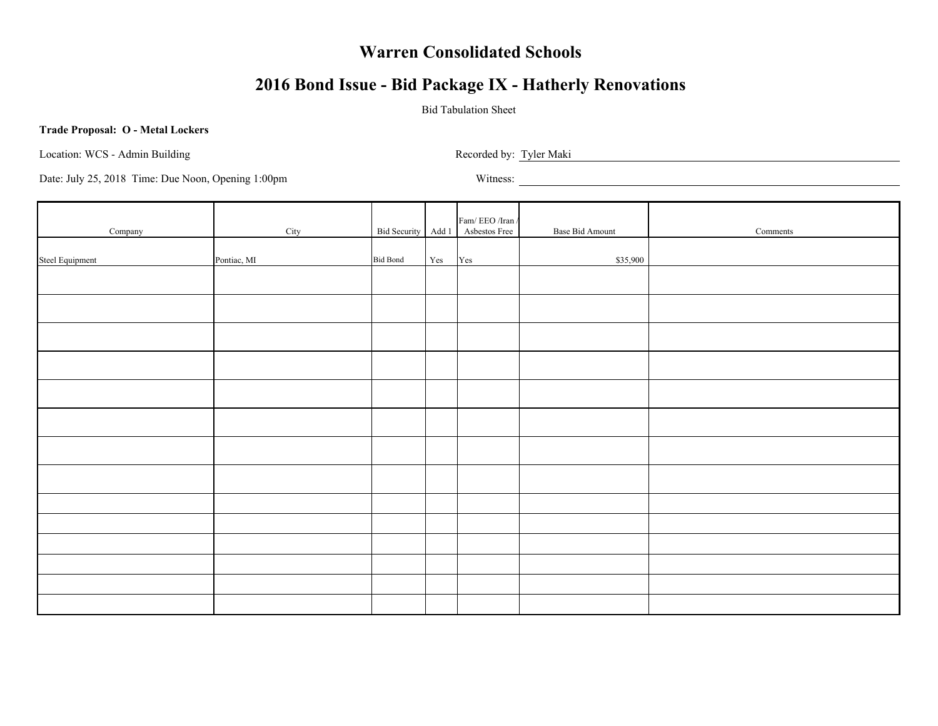# **2016 Bond Issue - Bid Package IX - Hatherly Renovations**

### Bid Tabulation Sheet

#### **Trade Proposal: O - Metal Lockers**

Location: WCS - Admin Building Recorded by: Tyler Maki

| Company         | City        |                 |     | Fam/ EEO /Iran /<br>Bid Security Add 1 Asbestos Free | Base Bid Amount | Comments |
|-----------------|-------------|-----------------|-----|------------------------------------------------------|-----------------|----------|
| Steel Equipment | Pontiac, MI | <b>Bid Bond</b> | Yes | Yes                                                  | \$35,900        |          |
|                 |             |                 |     |                                                      |                 |          |
|                 |             |                 |     |                                                      |                 |          |
|                 |             |                 |     |                                                      |                 |          |
|                 |             |                 |     |                                                      |                 |          |
|                 |             |                 |     |                                                      |                 |          |
|                 |             |                 |     |                                                      |                 |          |
|                 |             |                 |     |                                                      |                 |          |
|                 |             |                 |     |                                                      |                 |          |
|                 |             |                 |     |                                                      |                 |          |
|                 |             |                 |     |                                                      |                 |          |
|                 |             |                 |     |                                                      |                 |          |
|                 |             |                 |     |                                                      |                 |          |
|                 |             |                 |     |                                                      |                 |          |
|                 |             |                 |     |                                                      |                 |          |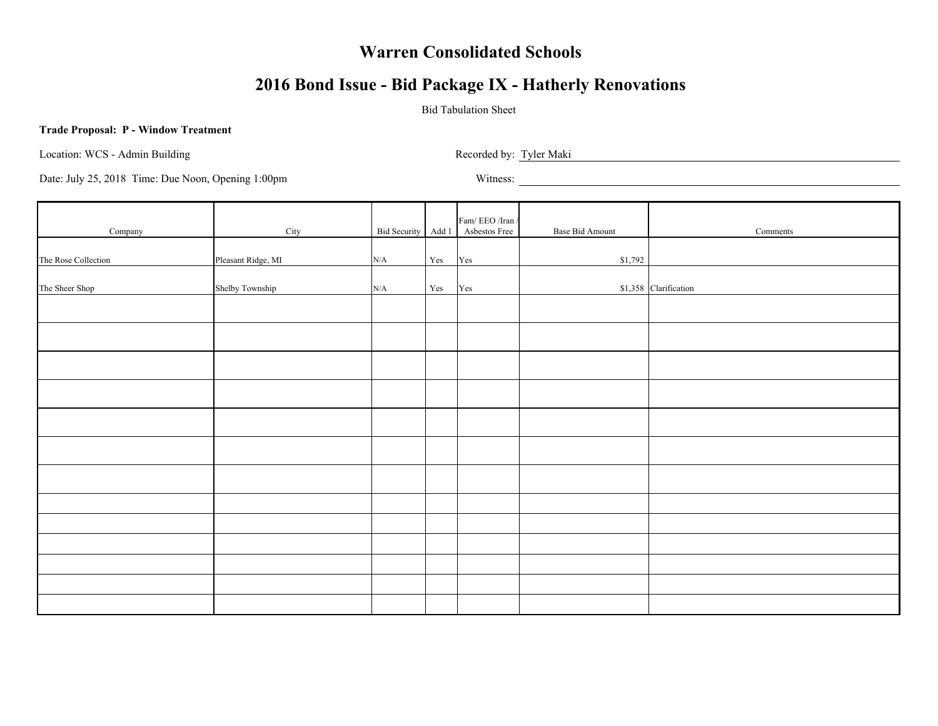# **2016 Bond Issue - Bid Package IX - Hatherly Renovations**

### Bid Tabulation Sheet

#### **Trade Proposal: P - Window Treatment**

Location: WCS - Admin Building Recorded by: Tyler Maki Recorded by: Tyler Maki

| Company             | City               |           |                      | Fam/EEO/Iran/<br>Bid Security Add 1 Asbestos Free | Base Bid Amount | Comments              |
|---------------------|--------------------|-----------|----------------------|---------------------------------------------------|-----------------|-----------------------|
| The Rose Collection | Pleasant Ridge, MI | N/A       | Yes                  | Yes                                               | \$1,792         |                       |
|                     |                    |           |                      |                                                   |                 |                       |
| The Sheer Shop      | Shelby Township    | $\rm N/A$ | $\operatorname{Yes}$ | Yes                                               |                 | \$1,358 Clarification |
|                     |                    |           |                      |                                                   |                 |                       |
|                     |                    |           |                      |                                                   |                 |                       |
|                     |                    |           |                      |                                                   |                 |                       |
|                     |                    |           |                      |                                                   |                 |                       |
|                     |                    |           |                      |                                                   |                 |                       |
|                     |                    |           |                      |                                                   |                 |                       |
|                     |                    |           |                      |                                                   |                 |                       |
|                     |                    |           |                      |                                                   |                 |                       |
|                     |                    |           |                      |                                                   |                 |                       |
|                     |                    |           |                      |                                                   |                 |                       |
|                     |                    |           |                      |                                                   |                 |                       |
|                     |                    |           |                      |                                                   |                 |                       |
|                     |                    |           |                      |                                                   |                 |                       |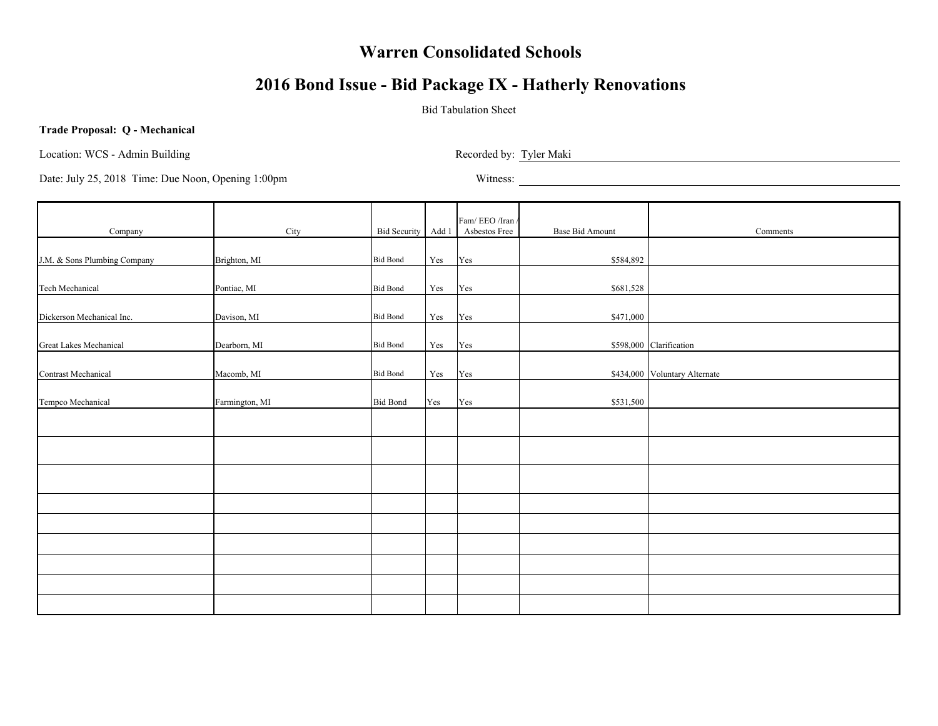# **2016 Bond Issue - Bid Package IX - Hatherly Renovations**

### Bid Tabulation Sheet

#### **Trade Proposal: Q - Mechanical**

Location: WCS - Admin Building Recorded by: Tyler Maki

| Company                      | City           |                 |                      | Fam/EEO/Iran/<br>Bid Security Add 1 Asbestos Free | <b>Base Bid Amount</b> | Comments                      |
|------------------------------|----------------|-----------------|----------------------|---------------------------------------------------|------------------------|-------------------------------|
| J.M. & Sons Plumbing Company | Brighton, MI   | <b>Bid Bond</b> | Yes                  | Yes                                               | \$584,892              |                               |
|                              |                |                 |                      |                                                   |                        |                               |
| <b>Tech Mechanical</b>       | Pontiac, MI    | <b>Bid Bond</b> | Yes                  | Yes                                               | \$681,528              |                               |
| Dickerson Mechanical Inc.    | Davison, MI    | <b>Bid Bond</b> | $\operatorname{Yes}$ | Yes                                               | \$471,000              |                               |
| Great Lakes Mechanical       | Dearborn, MI   | <b>Bid Bond</b> | $\operatorname{Yes}$ | Yes                                               |                        | \$598,000 Clarification       |
| <b>Contrast Mechanical</b>   | Macomb, MI     | <b>Bid Bond</b> | Yes                  | Yes                                               |                        | \$434,000 Voluntary Alternate |
| Tempco Mechanical            | Farmington, MI | <b>Bid Bond</b> | Yes                  | Yes                                               | \$531,500              |                               |
|                              |                |                 |                      |                                                   |                        |                               |
|                              |                |                 |                      |                                                   |                        |                               |
|                              |                |                 |                      |                                                   |                        |                               |
|                              |                |                 |                      |                                                   |                        |                               |
|                              |                |                 |                      |                                                   |                        |                               |
|                              |                |                 |                      |                                                   |                        |                               |
|                              |                |                 |                      |                                                   |                        |                               |
|                              |                |                 |                      |                                                   |                        |                               |
|                              |                |                 |                      |                                                   |                        |                               |